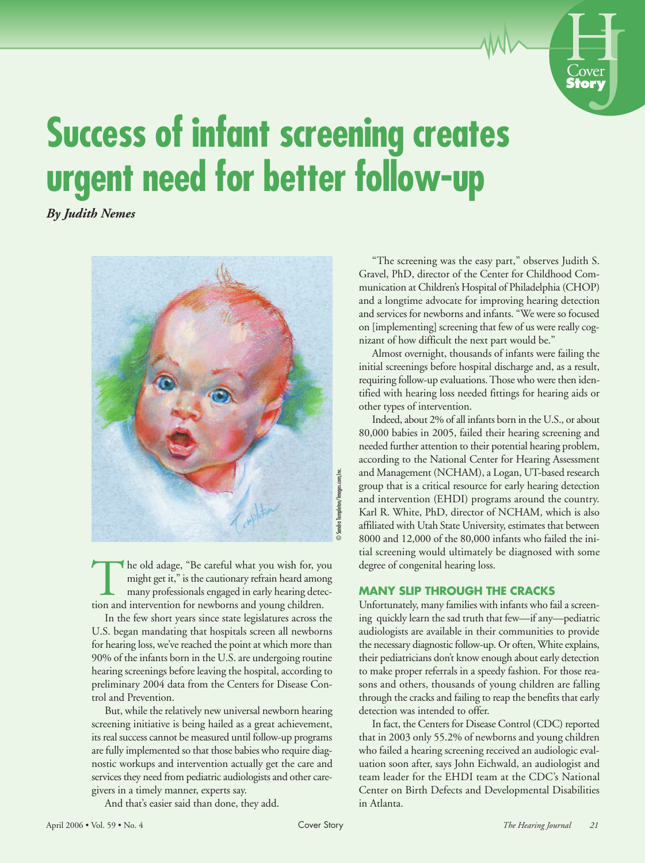

# **Success of infant screening creates urgent need for better follow-up**

*By Judith Nemes*



The old adage, "Be careful what you wish for, you might get it," is the cautionary refrain heard among many professionals engaged in early hearing detection and intervention for newborns and young children.

In the few short years since state legislatures across the U.S. began mandating that hospitals screen all newborns for hearing loss, we've reached the point at which more than 90% of the infants born in the U.S. are undergoing routine hearing screenings before leaving the hospital, according to preliminary 2004 data from the Centers for Disease Control and Prevention.

But, while the relatively new universal newborn hearing screening initiative is being hailed as a great achievement, its real success cannot be measured until follow-up programs are fully implemented so that those babies who require diagnostic workups and intervention actually get the care and services they need from pediatric audiologists and other caregivers in a timely manner, experts say.

And that's easier said than done, they add.

"The screening was the easy part," observes Judith S. Gravel, PhD, director of the Center for Childhood Communication at Children's Hospital of Philadelphia (CHOP) and a longtime advocate for improving hearing detection and services for newborns and infants. "We were so focused on [implementing] screening that few of us were really cognizant of how difficult the next part would be."

Almost overnight, thousands of infants were failing the initial screenings before hospital discharge and, as a result, requiring follow-up evaluations. Those who were then identified with hearing loss needed fittings for hearing aids or other types of intervention.

Indeed, about 2% of all infants born in the U.S., or about 80,000 babies in 2005, failed their hearing screening and needed further attention to their potential hearing problem, according to the National Center for Hearing Assessment and Management (NCHAM), a Logan, UT-based research group that is a critical resource for early hearing detection and intervention (EHDI) programs around the country. Karl R. White, PhD, director of NCHAM, which is also affiliated with Utah State University, estimates that between 8000 and 12,000 of the 80,000 infants who failed the initial screening would ultimately be diagnosed with some degree of congenital hearing loss.

## **MANY SLIP THROUGH THE CRACKS**

Unfortunately, many families with infants who fail a screening quickly learn the sad truth that few—if any—pediatric audiologists are available in their communities to provide the necessary diagnostic follow-up. Or often, White explains, their pediatricians don't know enough about early detection to make proper referrals in a speedy fashion. For those reasons and others, thousands of young children are falling through the cracks and failing to reap the benefits that early detection was intended to offer.

In fact, the Centers for Disease Control (CDC) reported that in 2003 only 55.2% of newborns and young children who failed a hearing screening received an audiologic evaluation soon after, says John Eichwald, an audiologist and team leader for the EHDI team at the CDC's National Center on Birth Defects and Developmental Disabilities in Atlanta.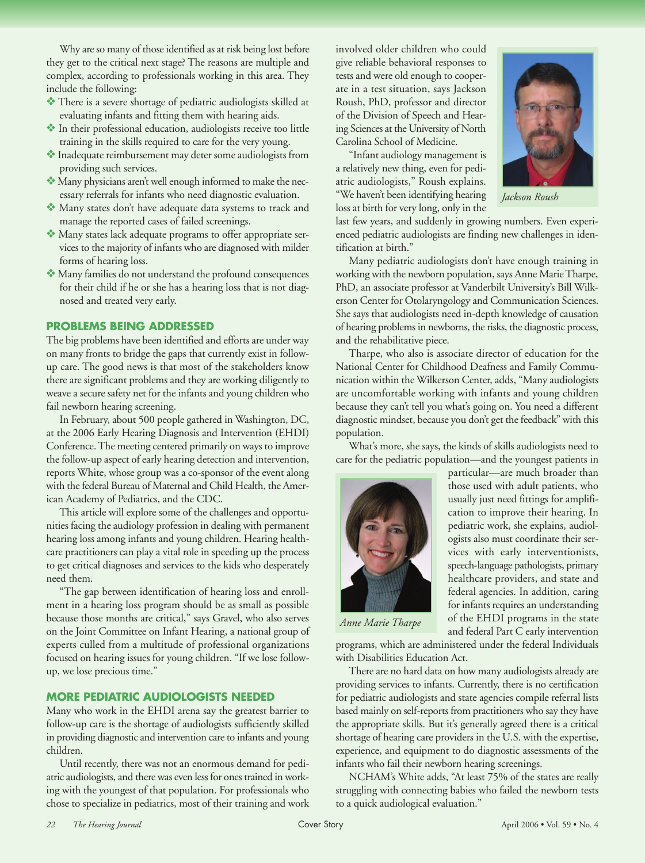Why are so many of those identified as at risk being lost before they get to the critical next stage? The reasons are multiple and complex, according to professionals working in this area. They include the following:

- ❖ There is a severe shortage of pediatric audiologists skilled at evaluating infants and fitting them with hearing aids.
- ❖ In their professional education, audiologists receive too little training in the skills required to care for the very young.
- ❖ Inadequate reimbursement may deter some audiologists from providing such services.
- ❖ Many physicians aren't well enough informed to make the necessary referrals for infants who need diagnostic evaluation.
- ❖ Many states don't have adequate data systems to track and manage the reported cases of failed screenings.
- ❖ Many states lack adequate programs to offer appropriate services to the majority of infants who are diagnosed with milder forms of hearing loss.
- ❖ Many families do not understand the profound consequences for their child if he or she has a hearing loss that is not diagnosed and treated very early.

## **PROBLEMS BEING ADDRESSED**

The big problems have been identified and efforts are under way on many fronts to bridge the gaps that currently exist in followup care. The good news is that most of the stakeholders know there are significant problems and they are working diligently to weave a secure safety net for the infants and young children who fail newborn hearing screening.

In February, about 500 people gathered in Washington, DC, at the 2006 Early Hearing Diagnosis and Intervention (EHDI) Conference. The meeting centered primarily on ways to improve the follow-up aspect of early hearing detection and intervention, reports White, whose group was a co-sponsor of the event along with the federal Bureau of Maternal and Child Health, the American Academy of Pediatrics, and the CDC.

This article will explore some of the challenges and opportunities facing the audiology profession in dealing with permanent hearing loss among infants and young children. Hearing healthcare practitioners can play a vital role in speeding up the process to get critical diagnoses and services to the kids who desperately need them.

"The gap between identification of hearing loss and enrollment in a hearing loss program should be as small as possible because those months are critical," says Gravel, who also serves on the Joint Committee on Infant Hearing, a national group of experts culled from a multitude of professional organizations focused on hearing issues for young children. "If we lose followup, we lose precious time."

# **MORE PEDIATRIC AUDIOLOGISTS NEEDED**

Many who work in the EHDI arena say the greatest barrier to follow-up care is the shortage of audiologists sufficiently skilled in providing diagnostic and intervention care to infants and young children.

Until recently, there was not an enormous demand for pediatric audiologists, and there was even less for ones trained in working with the youngest of that population. For professionals who chose to specialize in pediatrics, most of their training and work involved older children who could give reliable behavioral responses to tests and were old enough to cooperate in a test situation, says Jackson Roush, PhD, professor and director of the Division of Speech and Hearing Sciences at the University of North Carolina School of Medicine.

"Infant audiology management is a relatively new thing, even for pediatric audiologists," Roush explains. "We haven't been identifying hearing loss at birth for very long, only in the



*Jackson Roush*

last few years, and suddenly in growing numbers. Even experienced pediatric audiologists are finding new challenges in identification at birth."

Many pediatric audiologists don't have enough training in working with the newborn population, says Anne Marie Tharpe, PhD, an associate professor at Vanderbilt University's Bill Wilkerson Center for Otolaryngology and Communication Sciences. She says that audiologists need in-depth knowledge of causation of hearing problems in newborns, the risks, the diagnostic process, and the rehabilitative piece.

Tharpe, who also is associate director of education for the National Center for Childhood Deafness and Family Communication within the Wilkerson Center, adds, "Many audiologists are uncomfortable working with infants and young children because they can't tell you what's going on. You need a different diagnostic mindset, because you don't get the feedback" with this population.

What's more, she says, the kinds of skills audiologists need to care for the pediatric population—and the youngest patients in



particular—are much broader than those used with adult patients, who usually just need fittings for amplification to improve their hearing. In pediatric work, she explains, audiologists also must coordinate their services with early interventionists, speech-language pathologists, primary healthcare providers, and state and federal agencies. In addition, caring for infants requires an understanding of the EHDI programs in the state and federal Part C early intervention

*Anne Marie Tharpe*

programs, which are administered under the federal Individuals with Disabilities Education Act.

There are no hard data on how many audiologists already are providing services to infants. Currently, there is no certification for pediatric audiologists and state agencies compile referral lists based mainly on self-reports from practitioners who say they have the appropriate skills. But it's generally agreed there is a critical shortage of hearing care providers in the U.S. with the expertise, experience, and equipment to do diagnostic assessments of the infants who fail their newborn hearing screenings.

NCHAM's White adds, "At least 75% of the states are really struggling with connecting babies who failed the newborn tests to a quick audiological evaluation."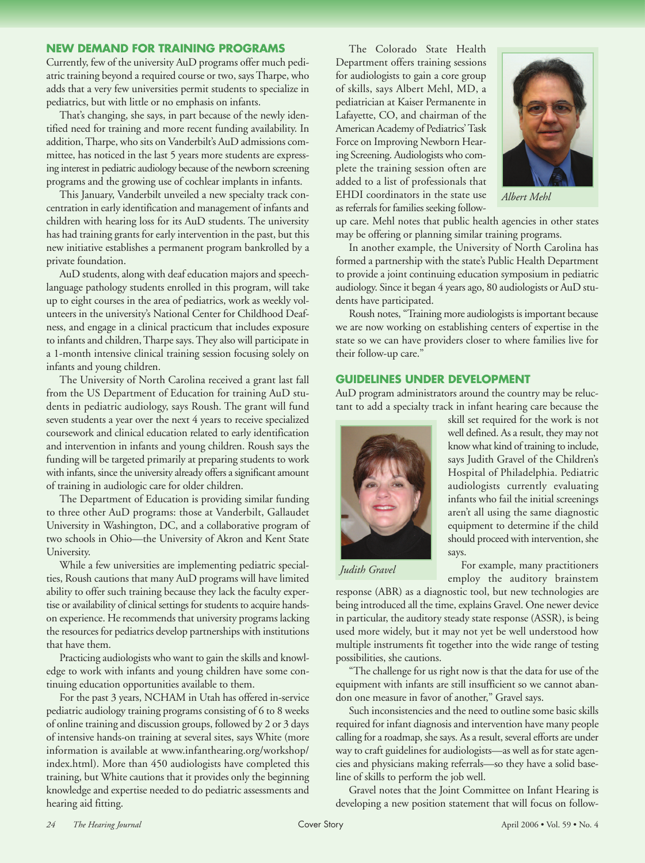#### **NEW DEMAND FOR TRAINING PROGRAMS**

Currently, few of the university AuD programs offer much pediatric training beyond a required course or two, says Tharpe, who adds that a very few universities permit students to specialize in pediatrics, but with little or no emphasis on infants.

That's changing, she says, in part because of the newly identified need for training and more recent funding availability. In addition, Tharpe, who sits on Vanderbilt's AuD admissions committee, has noticed in the last 5 years more students are expressing interest in pediatric audiology because of the newborn screening programs and the growing use of cochlear implants in infants.

This January, Vanderbilt unveiled a new specialty track concentration in early identification and management of infants and children with hearing loss for its AuD students. The university has had training grants for early intervention in the past, but this new initiative establishes a permanent program bankrolled by a private foundation.

AuD students, along with deaf education majors and speechlanguage pathology students enrolled in this program, will take up to eight courses in the area of pediatrics, work as weekly volunteers in the university's National Center for Childhood Deafness, and engage in a clinical practicum that includes exposure to infants and children, Tharpe says. They also will participate in a 1-month intensive clinical training session focusing solely on infants and young children.

The University of North Carolina received a grant last fall from the US Department of Education for training AuD students in pediatric audiology, says Roush. The grant will fund seven students a year over the next 4 years to receive specialized coursework and clinical education related to early identification and intervention in infants and young children. Roush says the funding will be targeted primarily at preparing students to work with infants, since the university already offers a significant amount of training in audiologic care for older children.

The Department of Education is providing similar funding to three other AuD programs: those at Vanderbilt, Gallaudet University in Washington, DC, and a collaborative program of two schools in Ohio—the University of Akron and Kent State University.

While a few universities are implementing pediatric specialties, Roush cautions that many AuD programs will have limited ability to offer such training because they lack the faculty expertise or availability of clinical settings for students to acquire handson experience. He recommends that university programs lacking the resources for pediatrics develop partnerships with institutions that have them.

Practicing audiologists who want to gain the skills and knowledge to work with infants and young children have some continuing education opportunities available to them.

For the past 3 years, NCHAM in Utah has offered in-service pediatric audiology training programs consisting of 6 to 8 weeks of online training and discussion groups, followed by 2 or 3 days of intensive hands-on training at several sites, says White (more information is available at www.infanthearing.org/workshop/ index.html). More than 450 audiologists have completed this training, but White cautions that it provides only the beginning knowledge and expertise needed to do pediatric assessments and hearing aid fitting.

The Colorado State Health Department offers training sessions for audiologists to gain a core group of skills, says Albert Mehl, MD, a pediatrician at Kaiser Permanente in Lafayette, CO, and chairman of the American Academy of Pediatrics' Task Force on Improving Newborn Hearing Screening. Audiologists who complete the training session often are added to a list of professionals that EHDI coordinators in the state use as referrals for families seeking follow-



*Albert Mehl*

up care. Mehl notes that public health agencies in other states may be offering or planning similar training programs.

In another example, the University of North Carolina has formed a partnership with the state's Public Health Department to provide a joint continuing education symposium in pediatric audiology. Since it began 4 years ago, 80 audiologists or AuD students have participated.

Roush notes, "Training more audiologists is important because we are now working on establishing centers of expertise in the state so we can have providers closer to where families live for their follow-up care."

#### **GUIDELINES UNDER DEVELOPMENT**

AuD program administrators around the country may be reluctant to add a specialty track in infant hearing care because the



skill set required for the work is not well defined. As a result, they may not know what kind of training to include, says Judith Gravel of the Children's Hospital of Philadelphia. Pediatric audiologists currently evaluating infants who fail the initial screenings aren't all using the same diagnostic equipment to determine if the child should proceed with intervention, she says.

*Judith Gravel*

For example, many practitioners employ the auditory brainstem response (ABR) as a diagnostic tool, but new technologies are

being introduced all the time, explains Gravel. One newer device in particular, the auditory steady state response (ASSR), is being used more widely, but it may not yet be well understood how multiple instruments fit together into the wide range of testing possibilities, she cautions.

"The challenge for us right now is that the data for use of the equipment with infants are still insufficient so we cannot abandon one measure in favor of another," Gravel says.

Such inconsistencies and the need to outline some basic skills required for infant diagnosis and intervention have many people calling for a roadmap, she says. As a result, several efforts are under way to craft guidelines for audiologists—as well as for state agencies and physicians making referrals—so they have a solid baseline of skills to perform the job well.

Gravel notes that the Joint Committee on Infant Hearing is developing a new position statement that will focus on follow-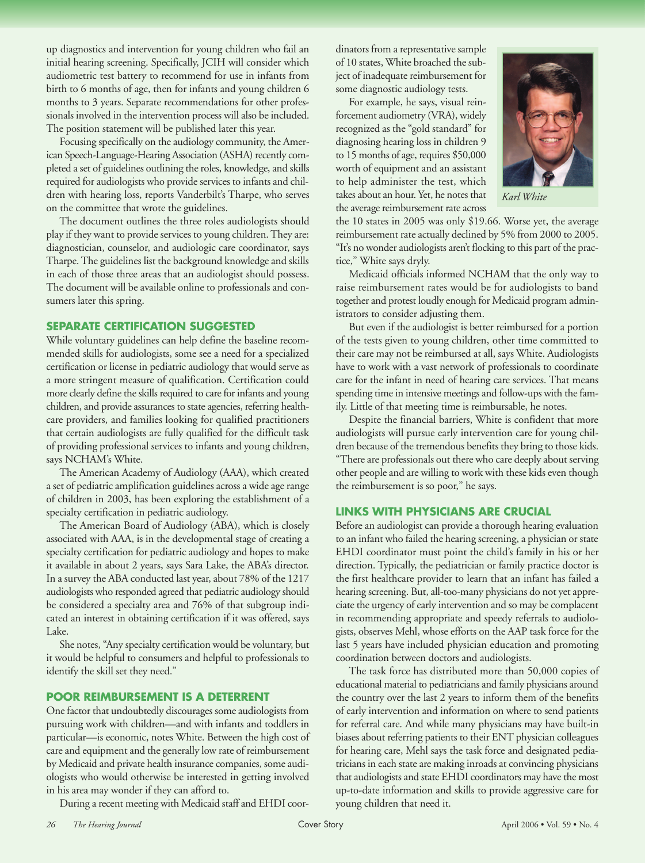up diagnostics and intervention for young children who fail an initial hearing screening. Specifically, JCIH will consider which audiometric test battery to recommend for use in infants from birth to 6 months of age, then for infants and young children 6 months to 3 years. Separate recommendations for other professionals involved in the intervention process will also be included. The position statement will be published later this year.

Focusing specifically on the audiology community, the American Speech-Language-Hearing Association (ASHA) recently completed a set of guidelines outlining the roles, knowledge, and skills required for audiologists who provide services to infants and children with hearing loss, reports Vanderbilt's Tharpe, who serves on the committee that wrote the guidelines.

The document outlines the three roles audiologists should play if they want to provide services to young children. They are: diagnostician, counselor, and audiologic care coordinator, says Tharpe. The guidelines list the background knowledge and skills in each of those three areas that an audiologist should possess. The document will be available online to professionals and consumers later this spring.

## **SEPARATE CERTIFICATION SUGGESTED**

While voluntary guidelines can help define the baseline recommended skills for audiologists, some see a need for a specialized certification or license in pediatric audiology that would serve as a more stringent measure of qualification. Certification could more clearly define the skills required to care for infants and young children, and provide assurances to state agencies, referring healthcare providers, and families looking for qualified practitioners that certain audiologists are fully qualified for the difficult task of providing professional services to infants and young children, says NCHAM's White.

The American Academy of Audiology (AAA), which created a set of pediatric amplification guidelines across a wide age range of children in 2003, has been exploring the establishment of a specialty certification in pediatric audiology.

The American Board of Audiology (ABA), which is closely associated with AAA, is in the developmental stage of creating a specialty certification for pediatric audiology and hopes to make it available in about 2 years, says Sara Lake, the ABA's director. In a survey the ABA conducted last year, about 78% of the 1217 audiologists who responded agreed that pediatric audiology should be considered a specialty area and 76% of that subgroup indicated an interest in obtaining certification if it was offered, says Lake.

She notes, "Any specialty certification would be voluntary, but it would be helpful to consumers and helpful to professionals to identify the skill set they need."

## **POOR REIMBURSEMENT IS A DETERRENT**

One factor that undoubtedly discourages some audiologists from pursuing work with children—and with infants and toddlers in particular—is economic, notes White. Between the high cost of care and equipment and the generally low rate of reimbursement by Medicaid and private health insurance companies, some audiologists who would otherwise be interested in getting involved in his area may wonder if they can afford to.

During a recent meeting with Medicaid staff and EHDI coor-

dinators from a representative sample of 10 states, White broached the subject of inadequate reimbursement for some diagnostic audiology tests.

For example, he says, visual reinforcement audiometry (VRA), widely recognized as the "gold standard" for diagnosing hearing loss in children 9 to 15 months of age, requires \$50,000 worth of equipment and an assistant to help administer the test, which takes about an hour. Yet, he notes that the average reimbursement rate across



*Karl White*

the 10 states in 2005 was only \$19.66. Worse yet, the average reimbursement rate actually declined by 5% from 2000 to 2005. "It's no wonder audiologists aren't flocking to this part of the practice," White says dryly.

Medicaid officials informed NCHAM that the only way to raise reimbursement rates would be for audiologists to band together and protest loudly enough for Medicaid program administrators to consider adjusting them.

But even if the audiologist is better reimbursed for a portion of the tests given to young children, other time committed to their care may not be reimbursed at all, says White. Audiologists have to work with a vast network of professionals to coordinate care for the infant in need of hearing care services. That means spending time in intensive meetings and follow-ups with the family. Little of that meeting time is reimbursable, he notes.

Despite the financial barriers, White is confident that more audiologists will pursue early intervention care for young children because of the tremendous benefits they bring to those kids. "There are professionals out there who care deeply about serving other people and are willing to work with these kids even though the reimbursement is so poor," he says.

## **LINKS WITH PHYSICIANS ARE CRUCIAL**

Before an audiologist can provide a thorough hearing evaluation to an infant who failed the hearing screening, a physician or state EHDI coordinator must point the child's family in his or her direction. Typically, the pediatrician or family practice doctor is the first healthcare provider to learn that an infant has failed a hearing screening. But, all-too-many physicians do not yet appreciate the urgency of early intervention and so may be complacent in recommending appropriate and speedy referrals to audiologists, observes Mehl, whose efforts on the AAP task force for the last 5 years have included physician education and promoting coordination between doctors and audiologists.

The task force has distributed more than 50,000 copies of educational material to pediatricians and family physicians around the country over the last 2 years to inform them of the benefits of early intervention and information on where to send patients for referral care. And while many physicians may have built-in biases about referring patients to their ENT physician colleagues for hearing care, Mehl says the task force and designated pediatricians in each state are making inroads at convincing physicians that audiologists and state EHDI coordinators may have the most up-to-date information and skills to provide aggressive care for young children that need it.